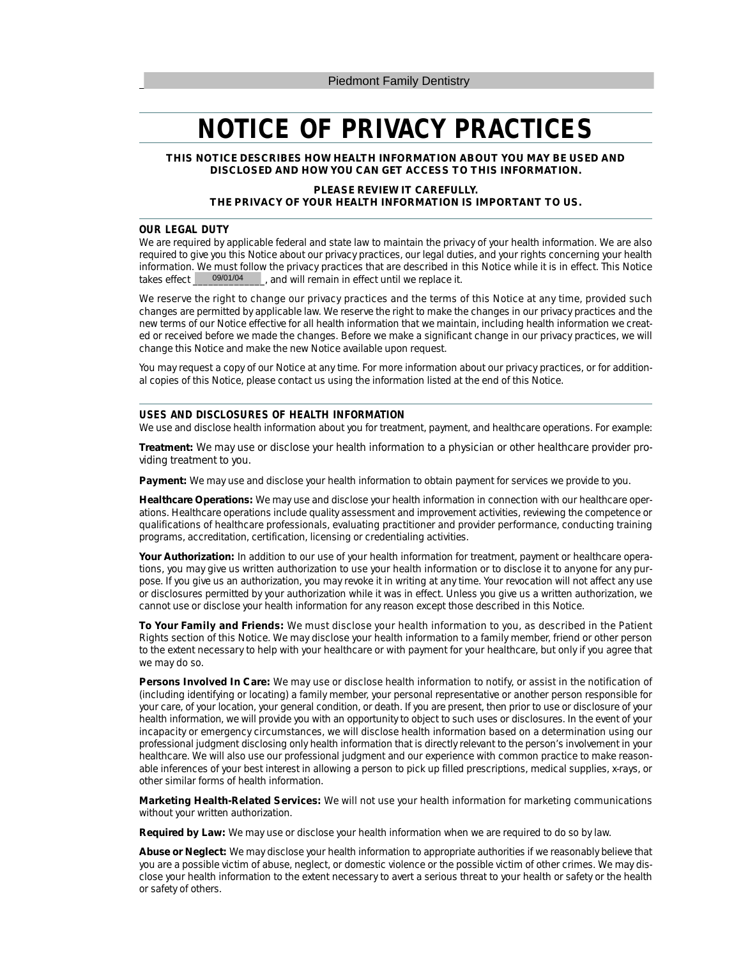# **NOTICE OF PRIVACY PRACTICES**

**THIS NOTICE DESCRIBES HOW HEALTH INFORMATION ABOUT YOU MAY BE USED AND DISCLOSED AND HOW YOU CAN GET ACCESS TO THIS INFORMATION.**

## **PLEASE REVIEW IT CAREFULLY. THE PRIVACY OF YOUR HEALTH INFORMATION IS IMPORTANT TO US.**

#### **OUR LEGAL DUTY**

We are required by applicable federal and state law to maintain the privacy of your health information. We are also required to give you this Notice about our privacy practices, our legal duties, and your rights concerning your health information. We must follow the privacy practices that are described in this Notice while it is in effect. This Notice takes effect  $\frac{9901}{04}$ , and will remain in effect until we replace it. thand will remain in effect until we replace it. 09/01/04

We reserve the right to change our privacy practices and the terms of this Notice at any time, provided such changes are permitted by applicable law. We reserve the right to make the changes in our privacy practices and the new terms of our Notice effective for all health information that we maintain, including health information we created or received before we made the changes. Before we make a significant change in our privacy practices, we will change this Notice and make the new Notice available upon request.

You may request a copy of our Notice at any time. For more information about our privacy practices, or for additional copies of this Notice, please contact us using the information listed at the end of this Notice.

#### **USES AND DISCLOSURES OF HEALTH INFORMATION**

We use and disclose health information about you for treatment, payment, and healthcare operations. For example:

**Treatment:** We may use or disclose your health information to a physician or other healthcare provider providing treatment to you.

**Payment:** We may use and disclose your health information to obtain payment for services we provide to you.

**Healthcare Operations:** We may use and disclose your health information in connection with our healthcare operations. Healthcare operations include quality assessment and improvement activities, reviewing the competence or qualifications of healthcare professionals, evaluating practitioner and provider performance, conducting training programs, accreditation, certification, licensing or credentialing activities.

**Your Authorization:** In addition to our use of your health information for treatment, payment or healthcare operations, you may give us written authorization to use your health information or to disclose it to anyone for any purpose. If you give us an authorization, you may revoke it in writing at any time. Your revocation will not affect any use or disclosures permitted by your authorization while it was in effect. Unless you give us a written authorization, we cannot use or disclose your health information for any reason except those described in this Notice.

**To Your Family and Friends:** We must disclose your health information to you, as described in the Patient Rights section of this Notice. We may disclose your health information to a family member, friend or other person to the extent necessary to help with your healthcare or with payment for your healthcare, but only if you agree that we may do so.

**Persons Involved In Care:** We may use or disclose health information to notify, or assist in the notification of (including identifying or locating) a family member, your personal representative or another person responsible for your care, of your location, your general condition, or death. If you are present, then prior to use or disclosure of your health information, we will provide you with an opportunity to object to such uses or disclosures. In the event of your incapacity or emergency circumstances, we will disclose health information based on a determination using our professional judgment disclosing only health information that is directly relevant to the person's involvement in your healthcare. We will also use our professional judgment and our experience with common practice to make reasonable inferences of your best interest in allowing a person to pick up filled prescriptions, medical supplies, x-rays, or other similar forms of health information.

**Marketing Health-Related Services:** We will not use your health information for marketing communications without your written authorization.

**Required by Law:** We may use or disclose your health information when we are required to do so by law.

**Abuse or Neglect:** We may disclose your health information to appropriate authorities if we reasonably believe that you are a possible victim of abuse, neglect, or domestic violence or the possible victim of other crimes. We may disclose your health information to the extent necessary to avert a serious threat to your health or safety or the health or safety of others.